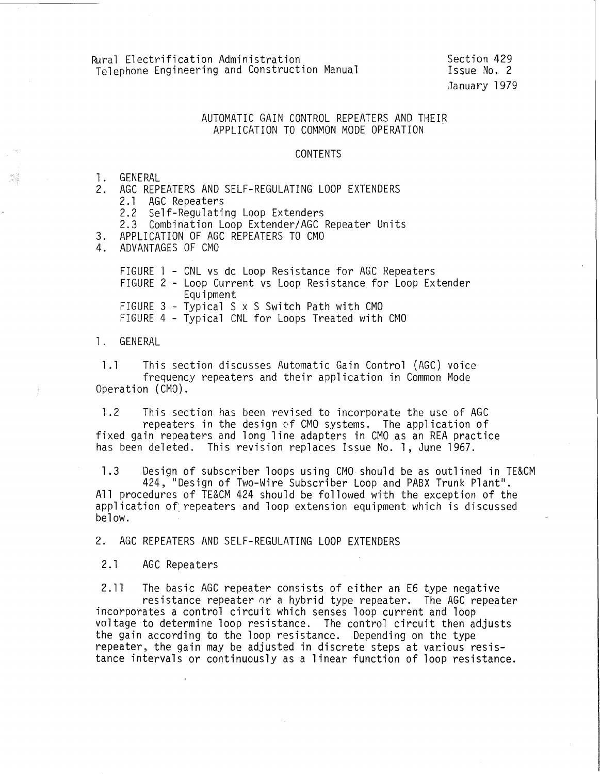## AUTOMATIC GAIN CONTROL REPEATERS AND THEIR APPLICATION TO COMMON MOOE OPERATION

## CONTENTS

## 1. GENERAL<br>2. AGC RFP

AGC REPEATERS AND SELF-REGULATING LOOP EXTENDERS<br>2.1 AGC Repeaters

2.1 AGC Repeaters<br>2.2 Self-Regulati

Self-Regulating Loop Extenders

2.3 Combination Loop Extender/AGC Repeater Units

3. APPLICATION OF AGC REPEATERS TO CMO<br>4. ADVANTAGES OF CMO

4. ADVANTAGES OF CMO

FIGURE 1 - CNL vs dc Loop Resistance for AGC Repeaters FIGURE 2- Loop Current vs Loop Resistance for Loop Extender Equipment FIGURE 3- Typical S x S Switch Path with CMO FIGURE 4- Typical CNL for Loops Treated with CMO

## 1. GENERAL

1.1 This section discusses Automatic Gain Control (AGC) voice frequency repeaters and their application in Common Mode Operation (CMO).

1.2 This section has been revised to incorporate the use of AGC repeaters in the design *of* CMO systems. The application of fixed gain repeaters and long line adapters in GMO as an REA practice has been deleted. This revision replaces Issue No. 1, June 1967.

1.3 Design of subscriber loops using CMO should be as outlined in TE&CM 424, "Design of Two-Wire Subscriber Loop and PABX Trunk Plant". All procedures of TE&CM 424 should be followed with the exception of the application of: repeaters and loop extension equipment which is discussed below.

2. AGC REPEATERS AND SELF-REGULATING LOOP EXTENDERS

2.1 AGC Repeaters

2.11 The basic AGC repeater consists of either an E6 type negative resistance repeater or a hybrid type repeater. The AGC repeater incorporates a control circuit which senses loop current and loop voltage to determine loop resistance. The control circuit then adjusts the gain according to the loop resistance. Depending on the type repeater, the gain may be adjusted in discrete steps at various resistance intervals or continuously as a linear function of loop resistance.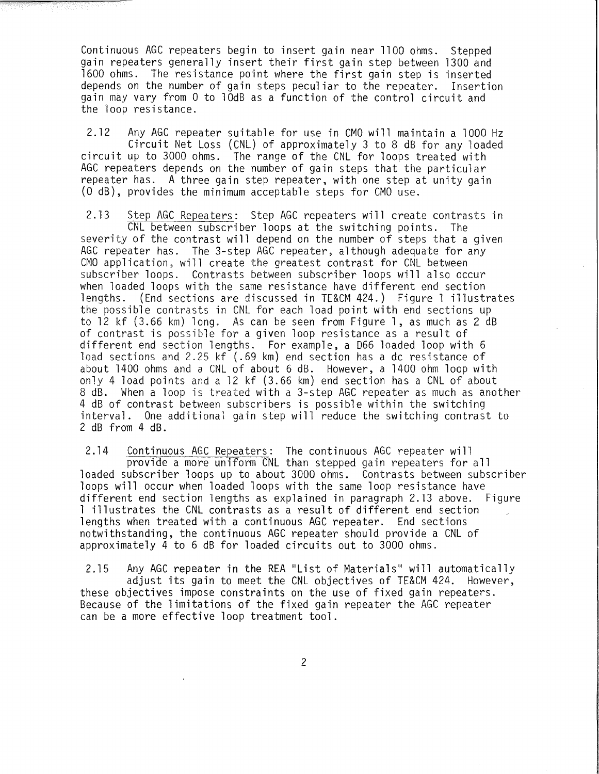Continuous AGC repeaters begin to insert gain near 1100 ohms. Stepped gain repeaters generally insert their first gain step between 1300 and 1600 ohms. The resistance point where the first gain step is inserted depends on the number of gain steps peculiar to the repeater. Insertion gain may vary from 0 to 10dB as a function of the control circuit and the loop resistance.

2.12 Any AGC repeater suitable for use in CMO will maintain a 1000 Hz Circuit Net Loss (CNL) of approximately 3 to 8 dB for any loaded circuit up to 3000 ohms. The range of the CNL for loops treated with AGC repeaters depends on the number of gain steps that the particular repeater has. A three gain step repeater, with one step at unity gain (0 dB), provides the minimum acceptable steps for CMO use.

2.13 Step AGC Repeaters: Step AGC repeaters will create contrasts in CNL between subscriber loops at the switching points. The severity of the contrast will depend on the number of steps that a given AGC repeater has. The 3-step AGC repeater, although adequate for any CMO application, will create the greatest contrast for CNL between subscriber loops. Contrasts between subscriber loops will also occur when loaded loops with the same resistance have different end section lengths. (End sections are discussed in TE&CM 424.) Figure l illustrates the possible contrasts in CNL for each load point with end sections up to 12 kf (3.66 km) long. As can be seen from Figure l, as much as 2 dB of contrast is possible for a given loop resistance as a result of different end section lengths. For example, a D66 loaded loop with 6 load sections and 2.25 kf (.69 km) end section has a dc resistance of about 1400 ohms and a CNL of about 6 dB. However, a 1400 ohm loop with only 4 load points and a 12 kf (3.66 km) end section has a CNL of about 8 dB. When a loop is treated with a 3-step AGC repeater as much as another 4 dB of contrast between subscribers is possible within the switching interval. One additional gain step will reduce the switching contrast to 2 dB from 4 dB.

2.14 Continuous AGC Repeaters: The continuous AGC repeater will provide a more uniform CNL than stepped gain repeaters for all loaded subscriber loops up to about 3000 ohms. Contrasts between subscriber loops will occur when loaded loops with the same loop resistance have different end section lengths as explained in paragraph 2.13 above. Figure l illustrates the CNL contrasts as a result of different end section lengths when treated with a continuous AGC repeater. End sections notwithstanding, the continuous AGC repeater should provide a CNL of approximately 4 to 6 dB for loaded circuits out to 3000 ohms.

2.15 Any AGC repeater in the REA "List of Materials" will automatically adjust its gain to meet the CNL objectives of TE&CM 424. However, these objectives impose constraints on the use of fixed gain repeaters. Because of the limitations of the fixed gain repeater the AGC repeater can be a more effective loop treatment tool.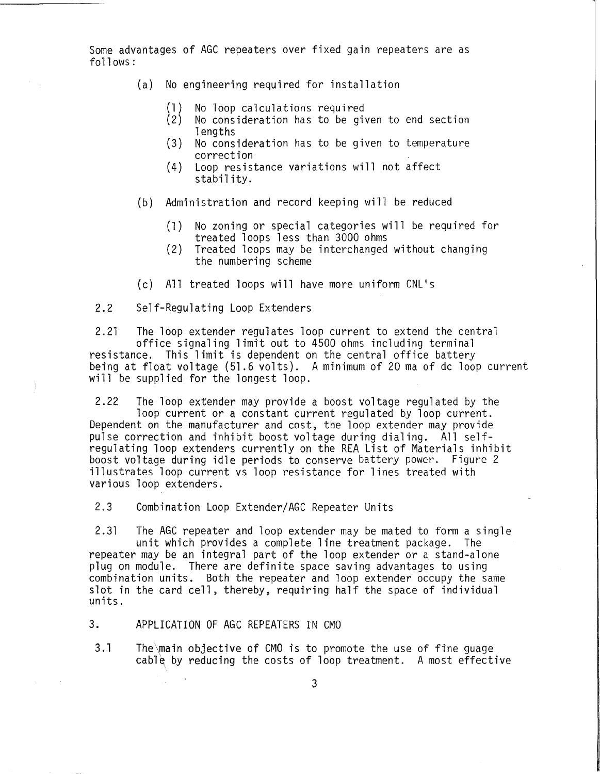Some advantages of AGC repeaters over fixed gain repeaters are as follows:

- (a) No engineering required for installation
	- (1) No loop calculations required<br>(2) No consideration has to be gi
	- No consideration has to be given to end section **lengths**
	- (3) No consideration has to be given to temperature correction
	- (4) Loop resistance variations will not affect stability.
- (b) Administration and record keeping will be reduced
	- (1) No zoning or special categories will be required for treated loops less than 3000 ohms
	- (2) Treated loops may be interchanged without changing the numbering scheme
- (c) All treated loops will have more uniform CNL's
- 2.2 Self-Regulating Loop Extenders

2.21 The loop extender regulates loop current to extend the central office signaling limit out to 4500 ohms including terminal resistance. This limit is dependent on the central office battery being at float voltage (51.6 volts). A minimum of 20 ma of de loop current will be supplied for the longest loop.

2.22 The loop extender may provide a boost voltage regulated by the loop current or a constant current regulated by loop current. Dependent on the manufacturer and cost, the loop extender may provide pulse correction and inhibit boost voltage during dialing. All selfregulating loop extenders currently on the REA List of Materials inhibit boost voltage during idle periods to conserve battery power. Figure 2 illustrates loop current vs loop resistance for lines treated with various loop extenders.

2.3 Combination Loop Extender/AGC Repeater Units

2.31 The AGC repeater and loop extender may be mated to form a single unit which provides a complete line treatment package. The repeater may be an integral part of the loop extender or a stand-alone plug on module. There are definite space saving advantages to using combination units. Both the repeater and loop extender occupy the same slot in the card cell, thereby, requiring half the space of individual units.

3. APPLICATION OF AGC REPEATERS IN CMO

3.1 The\main objective of CMO is to promote the use of fine guage cable by reducing the costs of loop treatment. A most effective

3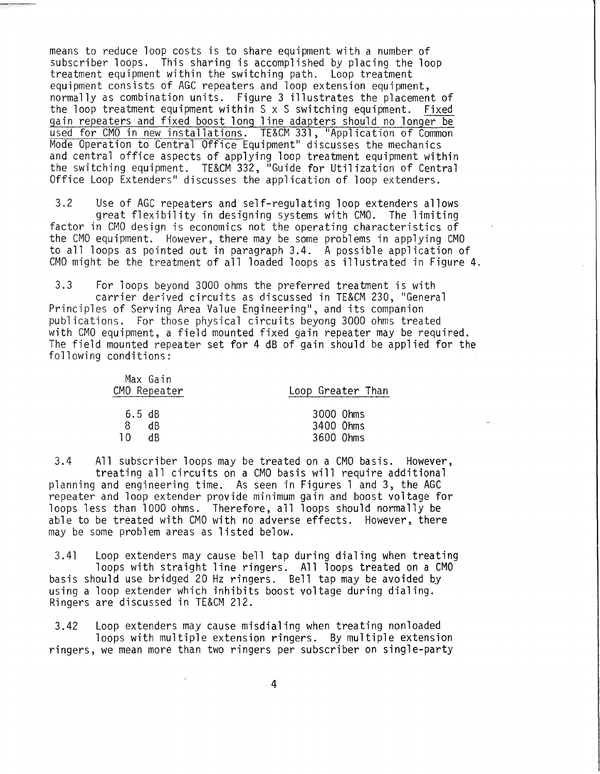means to reduce loop costs is to share equipment with a number of subscriber loops. This sharing is accomplished by placing the loop treatment equipment within the switching path. Loop treatment equipment consists of AGC repeaters and loop extension equipment, normally as combination units. Figure 3 illustrates the placement of the loop treatment equipment within S x S switching equipment. Fixed gain repeaters and fixed boost long line adapters should no longer be used for CMO in new installations. TE&CM 331, "Application of Common Mode Operation to Central Office Equipment" discusses the mechanics and central office aspects of applying loop treatment equipment within the switching equipment. TE&CM 332, "Guide for Utilization of Central Office Loop Extenders" discusses the application of loop extenders.

3.2 Use of AGC repeaters and self-regulating loop extenders allows great flexibility in designing systems with CMO. The limiting factor in CMO design is economics not the operating characteristics of the CMO equipment. However, there may be some problems in applying CMO to all loops as pointed out in paragraph 3.4. A possible application of CMO might be the treatment of all loaded loops as illustrated in Figure 4.

3.3 For loops beyond 3000 ohms the preferred treatment is with carrier derived circuits as discussed in TE&CM 230, "General Principles of Serving Area Value Engineering", and its companion publications. For those physical circuits beyong 3000 ohms treated with CMO equipment, a field mounted fixed gain repeater may be required. The field mounted repeater set for 4 dB of gain should be applied for the following conditions:

|     | Max Gain<br>CMO Repeater | Loop Greater Than |
|-----|--------------------------|-------------------|
|     | 6.5 dB                   | 3000 Ohms         |
| 8.  | dB.                      | 3400 Ohms         |
| ח ד | dR                       | 3600 Ohms         |

3.4 All subscriber loops may be treated on a CMO basis. However, treating all circuits on a CMO basis will require additional planning and engineering time. As seen in Figures 1 and 3, the AGC repeater and loop extender provide minimum gain and boost voltage for loops less than 1000 ohms. Therefore, all loops should normally be able to be treated with CMO with no adverse effects. However, there may be some problem areas as listed below.

3.41 Loop extenders may cause bell tap during dialing when treating loops with straight line ringers. All loops treated on a CMO basis should use bridged 20 Hz ringers. Bell tap may be avoided by using a loop extender which inhibits boost voltage during dialing.<br>Ringers are discussed in TE&CM 212.

3.42 Loop extenders may cause misdialing when treating nonloaded loops with multiple extension ringers. By multiple extension ringers, we mean more than two ringers per subscriber on single-party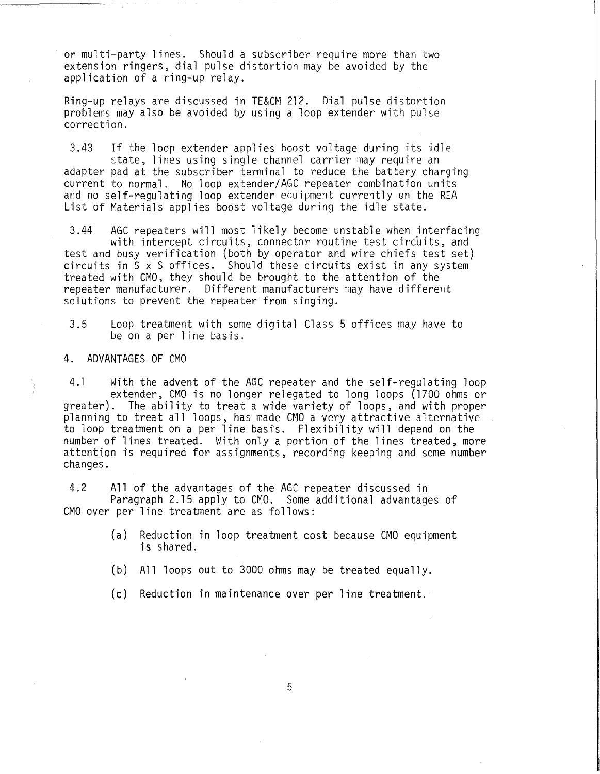or multi-party lines. Should a subscriber require more than two extension ringers, dial pulse distortion may be avoided by the application of a ring-up relay.

Ring-up relays are discussed in TE&CM 212. Dial pulse distortion problems may also be avoided by using a loop extender with pulse correction.

3.43 If the loop extender applies boost voltage during its idle state, lines using single channel carrier may require an adapter pad at the subscriber terminal to reduce the battery charging current to normal. No loop extender/AGC repeater combination units and no self-regulating loop extender equipment currently on the REA List of Materials applies boost voltage during the idle state.

3.44 AGC repeaters will most likely become unstable when interfacing<br>with intercept circuits, connector routine test circuits, and test and busy verification (both by operator and wire chiefs test set) circuits in S x S offices. Should these circuits exist in any system treated with CMO, they should be brought to the attention of the repeater manufacturer. Different manufacturers may have different solutions to prevent the repeater from singing.

3.5 Loop treatment with some digital Class 5 offices may have to be on a per line basis.

4. ADVANTAGES OF CMO

4.1 With the advent of the AGC repeater and the self-regulating loop extender, CMO is no longer relegated to long loops (1700 ohms or<br>greater). The ability to treat a wide variety of loops, and with proper planning to treat all loops, has made CMO a very attractive alternative \_<br>to loop treatment on a per line basis. Flexibility will depend on the number of lines treated. With only a portion of the lines treated, more attention is required for assignments, recording keeping and some number changes.

4.2 All of the advantages of the AGC repeater discussed in Paragraph 2.15 apply to CMO. Some additional advantages of CMO over per line treatment are as follows:

- (a) Reduction in loop treatment cost because CMO equipment is shared.
- (b) All loops out to 3000 ohms may be treated equally.

(c) Reduction in maintenance over per line treatment.

5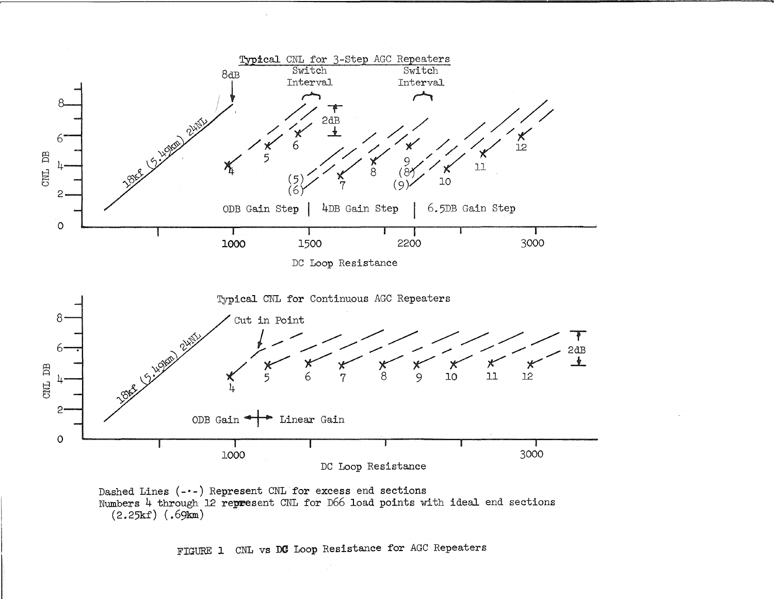

DC Loop Resistance





FIGURE 1 CNL vs DC Loop Resistance for AGC Repeaters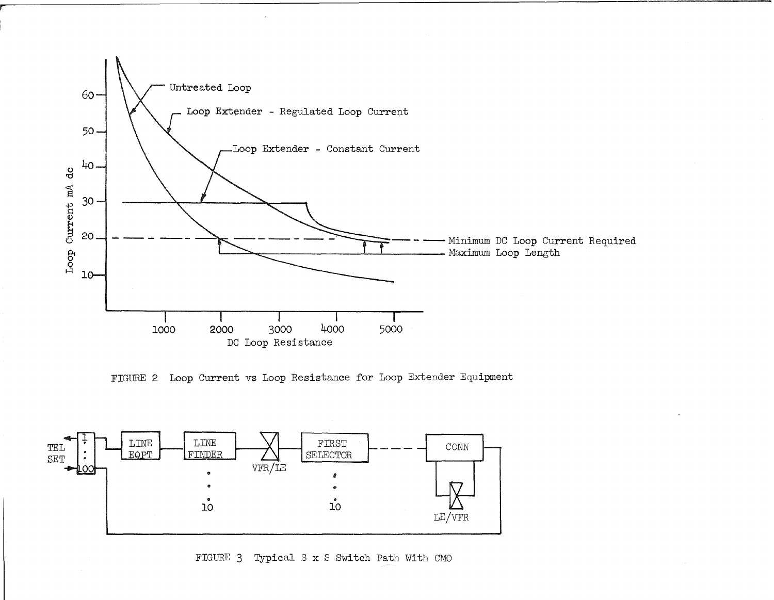

FIGURE 2 Loop Current vs Loop Resistance for Loop Extender Equipment



FIGURE 3 Typical S **x** S Switch Path With CMO